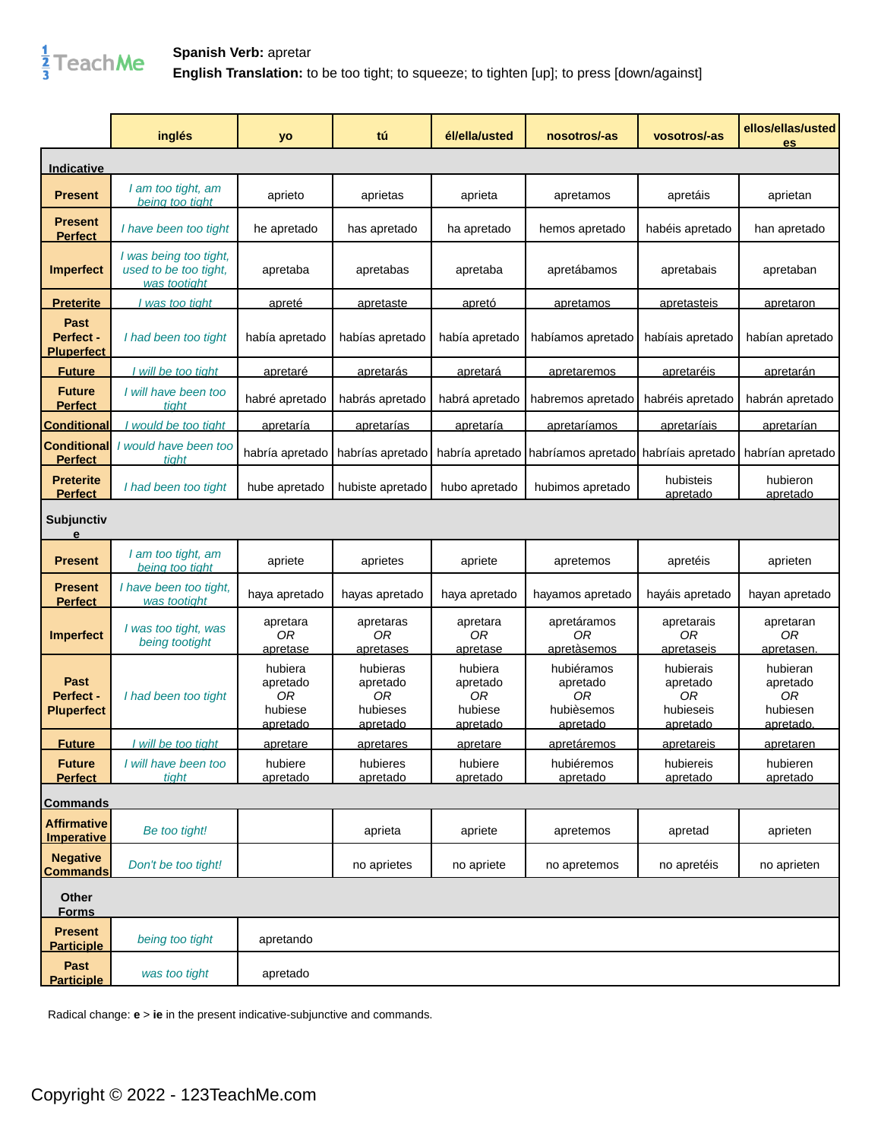

## **Spanish Verb:** apretar **English Translation:** to be too tight; to squeeze; to tighten [up]; to press [down/against]

|                                               | inglés                                                           | yo                                               | tú                                                 | él/ella/usted                                    | nosotros/-as                                           | vosotros/-as                                         | ellos/ellas/usted<br>es                             |
|-----------------------------------------------|------------------------------------------------------------------|--------------------------------------------------|----------------------------------------------------|--------------------------------------------------|--------------------------------------------------------|------------------------------------------------------|-----------------------------------------------------|
| Indicative                                    |                                                                  |                                                  |                                                    |                                                  |                                                        |                                                      |                                                     |
| <b>Present</b>                                | I am too tight, am<br>being too tight                            | aprieto                                          | aprietas                                           | aprieta                                          | apretamos                                              | apretáis                                             | aprietan                                            |
| <b>Present</b><br><b>Perfect</b>              | I have been too tight                                            | he apretado                                      | has apretado                                       | ha apretado                                      | hemos apretado                                         | habéis apretado                                      | han apretado                                        |
| <b>Imperfect</b>                              | I was being too tight,<br>used to be too tight,<br>was too tight | apretaba                                         | apretabas                                          | apretaba                                         | apretábamos                                            | apretabais                                           | apretaban                                           |
| <b>Preterite</b>                              | was too tight                                                    | <u>apreté</u>                                    | apretaste                                          | apretó                                           | apretamos                                              | <u>apretasteis</u>                                   | apretaron                                           |
| <b>Past</b><br>Perfect -<br><b>Pluperfect</b> | I had been too tight                                             | había apretado                                   | habías apretado                                    | había apretado                                   | habíamos apretado                                      | habíais apretado                                     | habían apretado                                     |
| <b>Future</b>                                 | I will be too tight                                              | <u>apretaré</u>                                  | <u>apretarás</u>                                   | <u>apretará</u>                                  | <u>apretaremos</u>                                     | <u>apretaréis</u>                                    | <u>apretarán</u>                                    |
| <b>Future</b><br><b>Perfect</b>               | I will have been too<br>tight                                    | habré apretado                                   | habrás apretado                                    | habrá apretado                                   | habremos apretado                                      | habréis apretado                                     | habrán apretado                                     |
| <b>Conditional</b>                            | would be too tight                                               | apretaría                                        | <u>apretarías</u>                                  | <u>apretaría</u>                                 | <u>apretaríamos</u>                                    | <u>apretaríais</u>                                   | <u>apretarían</u>                                   |
| <b>Conditional</b><br><b>Perfect</b>          | I would have been too<br>tiaht                                   | habría apretado                                  | habrías apretado                                   | habría apretado                                  | I habríamos apretado I habríais apretado               |                                                      | habrían apretado                                    |
| <b>Preterite</b><br><b>Perfect</b>            | I had been too tight                                             | hube apretado                                    | hubiste apretado                                   | hubo apretado                                    | hubimos apretado                                       | hubisteis<br>apretado                                | hubieron<br>apretado                                |
| <b>Subjunctiv</b><br>е                        |                                                                  |                                                  |                                                    |                                                  |                                                        |                                                      |                                                     |
| <b>Present</b>                                | I am too tight, am<br>being too tight                            | apriete                                          | aprietes                                           | apriete                                          | apretemos                                              | apretéis                                             | aprieten                                            |
| <b>Present</b><br><b>Perfect</b>              | I have been too tight,<br>was too tight                          | haya apretado                                    | hayas apretado                                     | haya apretado                                    | hayamos apretado                                       | hayáis apretado                                      | hayan apretado                                      |
| <b>Imperfect</b>                              | I was too tight, was<br>being too tight                          | apretara<br>0R<br><u>apretase</u>                | apretaras<br>0R<br>apretases                       | apretara<br>0R<br>apretase                       | apretáramos<br>0R<br>apretàsemos                       | apretarais<br>0R<br>apretaseis                       | apretaran<br>0R<br>apretasen.                       |
| <b>Past</b><br>Perfect -<br><b>Pluperfect</b> | I had been too tight                                             | hubiera<br>apretado<br>0R<br>hubiese<br>apretado | hubieras<br>apretado<br>0R<br>hubieses<br>apretado | hubiera<br>apretado<br>0R<br>hubiese<br>apretado | hubiéramos<br>apretado<br>0R<br>hubièsemos<br>apretado | hubierais<br>apretado<br>0R<br>hubieseis<br>apretado | hubieran<br>apretado<br>0R<br>hubiesen<br>apretado. |
| <b>Future</b>                                 | I will be too tiaht                                              | apretare                                         | <u>apretares</u>                                   | apretare                                         | apretáremos                                            | <u>apretareis</u>                                    | apretaren                                           |
| <b>Future</b><br><b>Perfect</b>               | I will have been too<br>tiaht                                    | hubiere<br>apretado                              | hubieres<br>apretado                               | hubiere<br>apretado                              | hubiéremos<br>apretado                                 | hubiereis<br>apretado                                | hubieren<br>apretado                                |
| <b>Commands</b>                               |                                                                  |                                                  |                                                    |                                                  |                                                        |                                                      |                                                     |
| <b>Affirmative</b><br><b>Imperative</b>       | Be too tight!                                                    |                                                  | aprieta                                            | apriete                                          | apretemos                                              | apretad                                              | aprieten                                            |
| <b>Negative</b><br><b>Commands</b>            | Don't be too tight!                                              |                                                  | no aprietes                                        | no apriete                                       | no apretemos                                           | no apretéis                                          | no aprieten                                         |
| Other<br><b>Forms</b>                         |                                                                  |                                                  |                                                    |                                                  |                                                        |                                                      |                                                     |
| <b>Present</b><br><b>Participle</b>           | being too tight                                                  | apretando                                        |                                                    |                                                  |                                                        |                                                      |                                                     |
| Past<br><b>Participle</b>                     | was too tight                                                    | apretado                                         |                                                    |                                                  |                                                        |                                                      |                                                     |

Radical change: **e** > **ie** in the present indicative-subjunctive and commands.